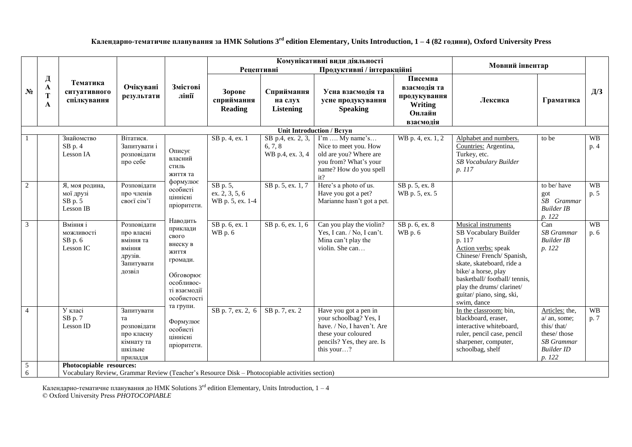**Календарно-тематичне планування за НМК Solutions 3 rd edition Elementary, Units Introduction, 1 – 4 (82 години), Oxford University Press**

|                     |                  |                                                                                                                            |                                                                                     |                                                                                                                          |                                                      |                                                               | Комунікативні види діяльності                                                                                                                    |                                                                                  | Мовний інвентар                                                                                                                                                                                                                                                    |                                                                                                                   |                                                  |
|---------------------|------------------|----------------------------------------------------------------------------------------------------------------------------|-------------------------------------------------------------------------------------|--------------------------------------------------------------------------------------------------------------------------|------------------------------------------------------|---------------------------------------------------------------|--------------------------------------------------------------------------------------------------------------------------------------------------|----------------------------------------------------------------------------------|--------------------------------------------------------------------------------------------------------------------------------------------------------------------------------------------------------------------------------------------------------------------|-------------------------------------------------------------------------------------------------------------------|--------------------------------------------------|
| $N_2$               | Д<br>A<br>т<br>A | Тематика<br>ситуативного<br>спілкування                                                                                    | Очікувані<br>результати                                                             | Змістові<br>лінії                                                                                                        | <b>Рецептивні</b><br>Зорове<br>сприймання<br>Reading | Сприймання<br>на слух<br><b>Listening</b>                     | Продуктивні / інтеракційні<br>Усна взаємодія та<br>усне продукування<br><b>Speaking</b>                                                          | Писемна<br>взаємолія та<br>продукування<br><b>Writing</b><br>Онлайн<br>взаємодія | Лексика                                                                                                                                                                                                                                                            | Граматика                                                                                                         | $\Box \hspace{-0.1cm} \Box \hspace{-0.1cm} \Box$ |
|                     |                  |                                                                                                                            |                                                                                     |                                                                                                                          |                                                      |                                                               | Unit Introduction / Вступ                                                                                                                        |                                                                                  |                                                                                                                                                                                                                                                                    |                                                                                                                   |                                                  |
|                     |                  | Знайомство<br>$SB$ p. 4<br>Lesson IA                                                                                       | Вітатися.<br>Запитувати і<br>розповідати<br>про себе                                | Описує<br>власний<br>стиль<br>життя та                                                                                   | SB p. 4, ex. 1                                       | $\overline{SB}$ p.4, ex. 2, 3,<br>6, 7, 8<br>WB p.4, ex. 3, 4 | $\Gamma$ m  My name's<br>Nice to meet you. How<br>old are you? Where are<br>you from? What's your<br>name? How do you spell<br>it?               | WB p. 4, ex. 1, 2                                                                | Alphabet and numbers.<br>Countries: Argentina,<br>Turkey, etc.<br>SB Vocabulary Builder<br>p. 117                                                                                                                                                                  | to be                                                                                                             | <b>WB</b><br>p. 4                                |
| $\overline{2}$      |                  | Я, моя родина,<br>мої друзі<br>SB p. 5<br>Lesson IB                                                                        | Розповідати<br>про членів<br>своєї сім'ї                                            | формулює<br>особисті<br>ціннісні<br>пріоритети.                                                                          | SB p. 5,<br>ex. 2, 3, 5, 6<br>WB p. 5, ex. 1-4       | SB p. 5, ex. 1, 7                                             | Here's a photo of us.<br>Have you got a pet?<br>Marianne hasn't got a pet.                                                                       | SB p. 5, ex. 8<br>WB p. 5, ex. 5                                                 |                                                                                                                                                                                                                                                                    | to be/have<br>got<br>SB Grammar<br><b>Builder IB</b><br>p. 122                                                    | <b>WB</b><br>p. 5                                |
| $\overline{3}$      |                  | Вміння і<br>можливості<br>$SB$ p. $6$<br>Lesson IC                                                                         | Розповілати<br>про власні<br>вміння та<br>вміння<br>друзів.<br>Запитувати<br>дозвіл | Наводить<br>приклади<br>свого<br>внеску в<br>ЖИТТЯ<br>громади.<br>Обговорює<br>особливос-<br>ті взаємодії<br>особистості | SB p. 6, ex. 1<br>WB p. 6                            | SB p. 6, ex. 1, 6                                             | Can you play the violin?<br>Yes, I can. / No, I can't.<br>Mina can't play the<br>violin. She can                                                 | SB p. 6, ex. 8<br>WB p. 6                                                        | Musical instruments<br>SB Vocabulary Builder<br>p. 117<br>Action verbs: speak<br>Chinese/French/Spanish,<br>skate, skateboard, ride a<br>bike/ a horse, play<br>basketball/football/tennis.<br>play the drums/clarinet/<br>guitar/piano, sing, ski,<br>swim, dance | Can<br><b>SB</b> Grammar<br><b>Builder IB</b><br>p. 122                                                           | <b>WB</b><br>p. 6                                |
| $\overline{4}$      |                  | У класі<br>$SB$ p. $7$<br>Lesson ID                                                                                        | Запитувати<br>та<br>розповідати<br>про класну<br>кімнату та<br>шкільне<br>приладдя  | та групи.<br>Формулює<br>особисті<br>піннісні<br>пріоритети.                                                             | SB p. 7, ex. 2, 6                                    | SB p. 7, ex. 2                                                | Have you got a pen in<br>your schoolbag? Yes, I<br>have. / No, I haven't. Are<br>these your coloured<br>pencils? Yes, they are. Is<br>this your? |                                                                                  | In the classroom: bin,<br>blackboard, eraser,<br>interactive whiteboard,<br>ruler, pencil case, pencil<br>sharpener, computer,<br>schoolbag, shelf                                                                                                                 | Articles: the,<br>$a/$ an, some;<br>this/that/<br>these/those<br><b>SB</b> Grammar<br><b>Builder ID</b><br>p. 122 | <b>WB</b><br>p. 7                                |
| $\overline{5}$<br>6 |                  | Photocopiable resources:<br>Vocabulary Review, Grammar Review (Teacher's Resource Disk - Photocopiable activities section) |                                                                                     |                                                                                                                          |                                                      |                                                               |                                                                                                                                                  |                                                                                  |                                                                                                                                                                                                                                                                    |                                                                                                                   |                                                  |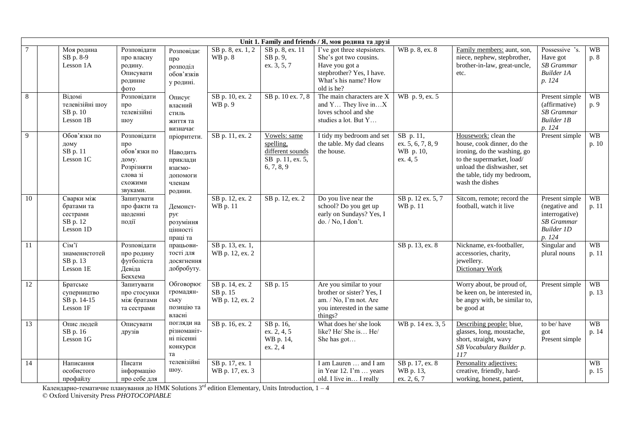|                 | Unit 1. Family and friends / Я, моя родина та друзі |                                                                           |                                                                                              |                                                                                 |                                                |                                                                                 |                                                                                                                                            |                                                         |                                                                                                                                                                                                |                                                                                                       |                    |  |  |
|-----------------|-----------------------------------------------------|---------------------------------------------------------------------------|----------------------------------------------------------------------------------------------|---------------------------------------------------------------------------------|------------------------------------------------|---------------------------------------------------------------------------------|--------------------------------------------------------------------------------------------------------------------------------------------|---------------------------------------------------------|------------------------------------------------------------------------------------------------------------------------------------------------------------------------------------------------|-------------------------------------------------------------------------------------------------------|--------------------|--|--|
|                 |                                                     | Моя родина<br>SB p. 8-9<br>Lesson 1A                                      | Розповідати<br>про власну<br>родину.<br>Описувати<br>родинне<br>фото                         | Розповілає<br>про<br>розподіл<br>обов'язків<br>у родині.                        | SB p. 8, ex. 1, 2<br><b>WB</b> p. 8            | SB p. 8, ex. 11<br>SB p. 9,<br>ex. 3, 5, 7                                      | I've got three stepsisters.<br>She's got two cousins.<br>Have you got a<br>stepbrother? Yes, I have.<br>What's his name? How<br>old is he? | WB p. 8, ex. 8                                          | Family members: aunt, son,<br>niece, nephew, stepbrother,<br>brother-in-law, great-uncle,<br>etc.                                                                                              | Possessive 's.<br>Have got<br><b>SB</b> Grammar<br><b>Builder 1A</b><br>p. 124                        | <b>WB</b><br>p. 8  |  |  |
| 8               |                                                     | Відомі<br>телевізійні шоу<br>SB p. 10<br>Lesson 1B                        | Розповідати<br>про<br>телевізійні<br>шоу                                                     | Описує<br>власний<br>стиль<br>життя та<br>визначає                              | SB p. 10, ex. 2<br>WB p. 9                     | SB p. 10 ex. 7, 8                                                               | The main characters are X<br>and $Y$ They live in $X$<br>loves school and she<br>studies a lot. But Y                                      | WB p. 9, ex. 5                                          |                                                                                                                                                                                                | Present simple<br>(affirmative)<br><b>SB</b> Grammar<br><b>Builder 1B</b><br>p. 124                   | <b>WB</b><br>p. 9  |  |  |
| 9               |                                                     | Обов'язки по<br>дому<br>SB p. 11<br>Lesson 1C                             | Розповідати<br>про<br>обов'язки по<br>дому.<br>Розрізняти<br>слова зі<br>схожими<br>звуками. | пріоритети.<br>Наводить<br>приклади<br>взаємо-<br>допомоги<br>членам<br>родини. | SB p. 11, ex. 2                                | Vowels: same<br>spelling,<br>different sounds<br>SB p. 11, ex. 5,<br>6, 7, 8, 9 | I tidy my bedroom and set<br>the table. My dad cleans<br>the house.                                                                        | SB p. 11,<br>ex. 5, 6, 7, 8, 9<br>WB p. 10,<br>ex. 4, 5 | Housework: clean the<br>house, cook dinner, do the<br>ironing, do the washing, go<br>to the supermarket, load/<br>unload the dishwasher, set<br>the table, tidy my bedroom,<br>wash the dishes | Present simple                                                                                        | <b>WB</b><br>p. 10 |  |  |
| 10              |                                                     | Сварки між<br>братами та<br>сестрами<br>SB p. 12<br>Lesson 1D             | Запитувати<br>про факти та<br>щоденні<br>події                                               | Демонст-<br>рує<br>розуміння<br>цінності<br>праці та                            | SB p. 12, ex. 2<br>WB p. 11                    | SB p. 12, ex. 2                                                                 | Do you live near the<br>school? Do you get up<br>early on Sundays? Yes, I<br>do. / No, I don't.                                            | SB p. 12 ex. 5, 7<br>WB p. 11                           | Sitcom, remote; record the<br>football, watch it live                                                                                                                                          | Present simple<br>(negative and<br>interrogative)<br><b>SB</b> Grammar<br><b>Builder 1D</b><br>p. 124 | <b>WB</b><br>p.11  |  |  |
| 11              |                                                     | $Cim$ <sup><math>n</math></sup><br>знаменистотей<br>SB p. 13<br>Lesson 1E | Розповідати<br>про родину<br>футболіста<br>Девіда<br>Бекхема                                 | працьови-<br>тості для<br>досягнення<br>добробуту.                              | SB p. 13, ex. 1,<br>WB p. 12, ex. 2            |                                                                                 |                                                                                                                                            | SB p. 13, ex. 8                                         | Nickname, ex-footballer,<br>accessories, charity,<br>jewellery.<br><b>Dictionary Work</b>                                                                                                      | Singular and<br>plural nouns                                                                          | <b>WB</b><br>p. 11 |  |  |
| 12              |                                                     | Братське<br>суперництво<br>SB p. 14-15<br>Lesson 1F                       | Запитувати<br>про стосунки<br>між братами<br>та сестрами                                     | Обговорює<br>громадян-<br>ську<br>позицію та<br>власні                          | SB p. 14, ex. 2<br>SB p. 15<br>WB p. 12, ex. 2 | $SB$ p. 15                                                                      | Are you similar to your<br>brother or sister? Yes, I<br>am. / No, I'm not. Are<br>you interested in the same<br>things?                    |                                                         | Worry about, be proud of,<br>be keen on, be interested in,<br>be angry with, be similar to,<br>be good at                                                                                      | Present simple                                                                                        | <b>WB</b><br>p. 13 |  |  |
| 13              |                                                     | Опис людей<br>SB p. 16<br>Lesson 1G                                       | Описувати<br>друзів                                                                          | погляди на<br>різноманіт-<br>ні пісенні<br>конкурси<br>та                       | SB p. 16, ex. 2                                | SB p. 16,<br>ex. 2, 4, 5<br>WB p. 14,<br>ex. 2, 4                               | What does he/ she look<br>like? He/ She is He/<br>She has got                                                                              | WB p. 14 ex. 3, 5                                       | Describing people: blue,<br>glasses, long, moustache,<br>short, straight, wavy<br>SB Vocabulary Builder p.<br>117                                                                              | to be/have<br>got<br>Present simple                                                                   | <b>WB</b><br>p. 14 |  |  |
| $\overline{14}$ |                                                     | Написання<br>особистого<br>профайлу                                       | Писати<br>інформацію<br>про себе для                                                         | телевізійні<br>шоу.                                                             | SB p. 17, ex. 1<br>WB p. 17, ex. 3             |                                                                                 | I am Lauren  and I am<br>in Year 12. I'm  years<br>old. I live in I really                                                                 | SB p. 17, ex. 8<br>WB p. 13,<br>ex. 2, 6, 7             | Personality adjectives:<br>creative, friendly, hard-<br>working, honest, patient,                                                                                                              |                                                                                                       | <b>WB</b><br>p. 15 |  |  |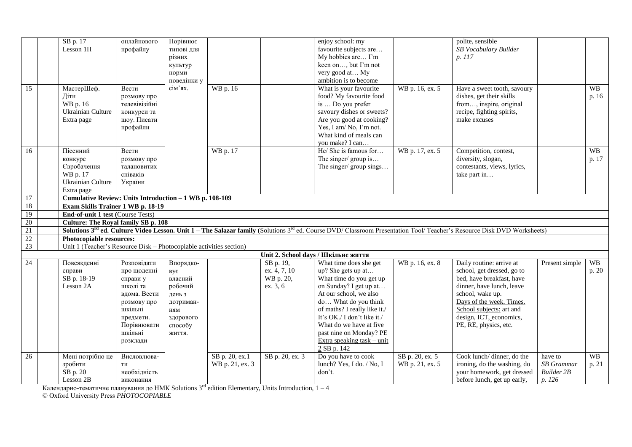|                 | SB p. 17                                                            | онлайнового              | Порівнює             |                 |                 | enjoy school: my                                        |                              | polite, sensible                                                                                                                                                                                      |                   |           |
|-----------------|---------------------------------------------------------------------|--------------------------|----------------------|-----------------|-----------------|---------------------------------------------------------|------------------------------|-------------------------------------------------------------------------------------------------------------------------------------------------------------------------------------------------------|-------------------|-----------|
|                 | Lesson 1H                                                           | профайлу                 | типові для           |                 |                 | favourite subjects are                                  |                              | SB Vocabulary Builder                                                                                                                                                                                 |                   |           |
|                 |                                                                     |                          | різних               |                 |                 | My hobbies are I'm                                      |                              | p. 117                                                                                                                                                                                                |                   |           |
|                 |                                                                     |                          | культур              |                 |                 | keen on, but I'm not                                    |                              |                                                                                                                                                                                                       |                   |           |
|                 |                                                                     |                          | норми                |                 |                 | very good at My                                         |                              |                                                                                                                                                                                                       |                   |           |
|                 |                                                                     |                          | поведінки у          |                 |                 | ambition is to become                                   |                              |                                                                                                                                                                                                       |                   |           |
| $\overline{15}$ | МастерШеф.                                                          | Вести                    | сім'ях.              | WB p. 16        |                 | What is your favourite                                  | WB p. 16, ex. 5              | Have a sweet tooth, savoury                                                                                                                                                                           |                   | <b>WB</b> |
|                 | Діти                                                                | розмову про              |                      |                 |                 | food? My favourite food                                 |                              | dishes, get their skills                                                                                                                                                                              |                   | p. 16     |
|                 | WB p. 16                                                            | телевівізійні            |                      |                 |                 | is  Do you prefer                                       |                              | from, inspire, original                                                                                                                                                                               |                   |           |
|                 | Ukrainian Culture                                                   | конкурси та              |                      |                 |                 | savoury dishes or sweets?                               |                              | recipe, fighting spirits,                                                                                                                                                                             |                   |           |
|                 | Extra page                                                          | шоу. Писати              |                      |                 |                 | Are you good at cooking?                                |                              | make excuses                                                                                                                                                                                          |                   |           |
|                 |                                                                     | профайли                 |                      |                 |                 | Yes, I am/No, I'm not.                                  |                              |                                                                                                                                                                                                       |                   |           |
|                 |                                                                     |                          |                      |                 |                 | What kind of meals can                                  |                              |                                                                                                                                                                                                       |                   |           |
|                 |                                                                     |                          |                      |                 |                 | you make? I can                                         |                              |                                                                                                                                                                                                       |                   |           |
| 16              | Пісенний                                                            | Вести                    |                      | WB p. 17        |                 | He/ She is famous for                                   | $\overline{WB}$ p. 17, ex. 5 | Competition, contest,                                                                                                                                                                                 |                   | <b>WB</b> |
|                 | конкурс                                                             | розмову про              |                      |                 |                 | The singer/ group is                                    |                              | diversity, slogan,                                                                                                                                                                                    |                   | p. 17     |
|                 | Євробачення                                                         | талановитих              |                      |                 |                 | The singer/ group sings                                 |                              | contestants, views, lyrics,                                                                                                                                                                           |                   |           |
|                 | WB p. 17                                                            | співаків                 |                      |                 |                 |                                                         |                              | take part in                                                                                                                                                                                          |                   |           |
|                 | Ukrainian Culture                                                   | України                  |                      |                 |                 |                                                         |                              |                                                                                                                                                                                                       |                   |           |
|                 | Extra page                                                          |                          |                      |                 |                 |                                                         |                              |                                                                                                                                                                                                       |                   |           |
| 17              | Cumulative Review: Units Introduction - 1 WB p. 108-109             |                          |                      |                 |                 |                                                         |                              |                                                                                                                                                                                                       |                   |           |
| 18              | Exam Skills Trainer 1 WB p. 18-19                                   |                          |                      |                 |                 |                                                         |                              |                                                                                                                                                                                                       |                   |           |
| 19              | End-of-unit 1 test (Course Tests)                                   |                          |                      |                 |                 |                                                         |                              |                                                                                                                                                                                                       |                   |           |
| 20              | <b>Culture: The Royal family SB p. 108</b>                          |                          |                      |                 |                 |                                                         |                              |                                                                                                                                                                                                       |                   |           |
| 21              |                                                                     |                          |                      |                 |                 |                                                         |                              | <b>Solutions 3<sup>rd</sup> ed. Culture Video Lesson. Unit 1 – The Salazar family</b> (Solutions 3 <sup>rd</sup> ed. Course DVD/ Classroom Presentation Tool/ Teacher's Resource Disk DVD Worksheets) |                   |           |
| $\frac{22}{23}$ | Photocopiable resources:                                            |                          |                      |                 |                 |                                                         |                              |                                                                                                                                                                                                       |                   |           |
|                 | Unit 1 (Teacher's Resource Disk - Photocopiable activities section) |                          |                      |                 |                 |                                                         |                              |                                                                                                                                                                                                       |                   |           |
|                 |                                                                     |                          |                      |                 |                 | Unit 2. School days / Шкільне життя                     |                              |                                                                                                                                                                                                       |                   |           |
| 24              | Повсякденні                                                         | Розповідати              | Впорядко-            |                 | SB p. 19,       | What time does she get                                  | WB p. 16, ex. 8              | Daily routine: arrive at                                                                                                                                                                              | Present simple    | <b>WB</b> |
|                 | справи                                                              | про щоденні              | BVE                  |                 | ex. 4, 7, 10    | up? She gets up at                                      |                              | school, get dressed, go to                                                                                                                                                                            |                   | p. 20     |
|                 | SB p. 18-19                                                         | справи у                 | власний              |                 | WB p. 20,       | What time do you get up                                 |                              | bed, have breakfast, have                                                                                                                                                                             |                   |           |
|                 | Lesson 2A                                                           | школі та                 | робочий              |                 | ex. 3, 6        | on Sunday? I get up at<br>At our school, we also        |                              | dinner, have lunch, leave                                                                                                                                                                             |                   |           |
|                 |                                                                     | вдома. Вести             | день з               |                 |                 |                                                         |                              | school, wake up.<br>Days of the week. Times.                                                                                                                                                          |                   |           |
|                 |                                                                     | розмову про<br>шкільні   | дотриман-            |                 |                 | do What do you think<br>of maths? I really like it./    |                              |                                                                                                                                                                                                       |                   |           |
|                 |                                                                     |                          | $_{\rm HMM}$         |                 |                 | It's OK./ I don't like it./                             |                              | School subjects: art and<br>design, ICT, economics,                                                                                                                                                   |                   |           |
|                 |                                                                     | предмети.<br>Порівнювати | здорового<br>способу |                 |                 | What do we have at five                                 |                              | PE, RE, physics, etc.                                                                                                                                                                                 |                   |           |
|                 |                                                                     | шкільні                  |                      |                 |                 |                                                         |                              |                                                                                                                                                                                                       |                   |           |
|                 |                                                                     | розклади                 | життя.               |                 |                 | past nine on Monday? PE<br>Extra speaking $task - unit$ |                              |                                                                                                                                                                                                       |                   |           |
|                 |                                                                     |                          |                      |                 |                 | $2$ SB p. 142                                           |                              |                                                                                                                                                                                                       |                   |           |
| 26              | Мені потрібно це                                                    | Висловлюва-              |                      | SB p. 20, ex.1  | SB p. 20, ex. 3 | Do you have to cook                                     | SB p. 20, ex. 5              | Cook lunch/ dinner, do the                                                                                                                                                                            | have to           | <b>WB</b> |
|                 | зробити                                                             | ТИ                       |                      | WB p. 21, ex. 3 |                 | lunch? Yes, I do. / No, I                               | WB p. 21, ex. 5              | ironing, do the washing, do                                                                                                                                                                           | <b>SB</b> Grammar | p. 21     |
|                 | SB p. 20                                                            | необхідність             |                      |                 |                 | don't.                                                  |                              | your homework, get dressed                                                                                                                                                                            | <b>Builder 2B</b> |           |
|                 | Lesson 2B                                                           | виконання                |                      |                 |                 |                                                         |                              | before lunch, get up early,                                                                                                                                                                           | p. 126            |           |
|                 |                                                                     |                          |                      |                 |                 |                                                         |                              |                                                                                                                                                                                                       |                   |           |

Календарно-тематичне планування до НМК Solutions 3<sup>rd</sup> edition Elementary, Units Introduction, 1 – 4

© Oxford University Press *PHOTOCOPIABLE*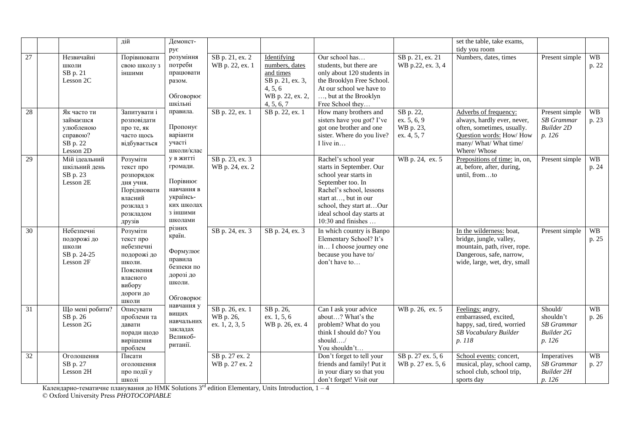|                 |                                                                            | дій                                                                                                                   | Демонст-<br>рує                                                                                   |                                                |                                                                                                             |                                                                                                                                                                                                                                    |                                                        | set the table, take exams,<br>tidy you room                                                                                                             |                                                                          |                    |
|-----------------|----------------------------------------------------------------------------|-----------------------------------------------------------------------------------------------------------------------|---------------------------------------------------------------------------------------------------|------------------------------------------------|-------------------------------------------------------------------------------------------------------------|------------------------------------------------------------------------------------------------------------------------------------------------------------------------------------------------------------------------------------|--------------------------------------------------------|---------------------------------------------------------------------------------------------------------------------------------------------------------|--------------------------------------------------------------------------|--------------------|
| 27              | Незвичайні<br>ШКОЛИ<br>SB p. 21<br>Lesson 2C                               | Порівнювати<br>свою школу з<br>іншими                                                                                 | розуміння<br>потреби<br>працювати<br>разом.<br>Обговорює<br>шкільні                               | SB p. 21, ex. 2<br>WB p. 22, ex. 1             | Identifying<br>numbers, dates<br>and times<br>SB p. 21, ex. 3,<br>4, 5, 6<br>WB p. 22, ex. 2,<br>4, 5, 6, 7 | Our school has<br>students, but there are<br>only about 120 students in<br>the Brooklyn Free School.<br>At our school we have to<br>, but at the Brooklyn<br>Free School they                                                      | SB p. 21, ex. 21<br>WB p.22, ex. 3, 4                  | Numbers, dates, times                                                                                                                                   | Present simple                                                           | <b>WB</b><br>p. 22 |
| 28              | Як часто ти<br>займаєшся<br>улюбленою<br>справою?<br>SB p. 22<br>Lesson 2D | Запитувати і<br>розповідати<br>про те, як<br>часто щось<br>відбувається                                               | правила.<br>Пропонує<br>варіанти<br>участі<br>школи/клас                                          | SB p. 22, ex. 1                                | SB p. 22, ex. 1                                                                                             | How many brothers and<br>sisters have you got? I've<br>got one brother and one<br>sister. Where do you live?<br>I live in                                                                                                          | SB p. 22,<br>ex. $5, 6, 9$<br>WB p. 23,<br>ex. 4, 5, 7 | Adverbs of frequency:<br>always, hardly ever, never,<br>often, sometimes, usually.<br>Question words: How/How<br>many/ What/ What time/<br>Where/ Whose | Present simple<br><b>SB</b> Grammar<br><b>Builder 2D</b><br>p. 126       | <b>WB</b><br>p. 23 |
| 29              | Мій ідеальний<br>шкільний день<br>SB p. 23<br>Lesson 2E                    | Розуміти<br>текст про<br>розпорядок<br>дня учня.<br>Поріднювати<br>власний<br>розклад з<br>розкладом<br>друзів        | у в житті<br>громади.<br>Порівнює<br>навчання в<br>українсь-<br>ких школах<br>з іншими<br>школами | SB p. 23, ex. 3<br>WB p. 24, ex. 2             |                                                                                                             | Rachel's school year<br>starts in September. Our<br>school year starts in<br>September too. In<br>Rachel's school, lessons<br>start at, but in our<br>school, they start atOur<br>ideal school day starts at<br>10:30 and finishes | WB p. 24, ex. 5                                        | Prepositions of time: in, on,<br>at, before, after, during,<br>until, fromto                                                                            | Present simple                                                           | <b>WB</b><br>p. 24 |
| 30              | Небезпечні<br>подорожі до<br>школи<br>SB p. 24-25<br>Lesson 2F             | Розуміти<br>текст про<br>небезпечні<br>подорожі до<br>школи.<br>Пояснення<br>власного<br>вибору<br>дороги до<br>школи | різних<br>країн.<br>Формулює<br>правила<br>безпеки по<br>дорозі до<br>школи.<br>Обговорює         | SB p. 24, ex. 3                                | SB p. 24, ex. 3                                                                                             | In which country is Banpo<br>Elementary School? It's<br>in I choose journey one<br>because you have to/<br>don't have to                                                                                                           |                                                        | In the wilderness: boat,<br>bridge, jungle, valley,<br>mountain, path, river, rope.<br>Dangerous, safe, narrow,<br>wide, large, wet, dry, small         | Present simple                                                           | <b>WB</b><br>p. 25 |
| $\overline{31}$ | Що мені робити?<br>SB p. 26<br>Lesson 2G                                   | Описувати<br>проблеми та<br>давати<br>поради щодо<br>вирішення<br>проблем                                             | навчання у<br>вищих<br>навчальних<br>закладах<br>Великоб-<br>ританії.                             | SB p. 26, ex. 1<br>WB p. 26,<br>ex. 1, 2, 3, 5 | SB p. 26,<br>ex. 1, 5, 6<br>WB p. 26, ex. 4                                                                 | Can I ask your advice<br>about? What's the<br>problem? What do you<br>think I should do? You<br>should/<br>You shouldn't                                                                                                           | WB p. 26, ex. 5                                        | Feelings: angry,<br>embarrassed, excited,<br>happy, sad, tired, worried<br>SB Vocabulary Builder<br>p. 118                                              | Should/<br>shouldn't<br><b>SB</b> Grammar<br><b>Builder 2G</b><br>p. 126 | <b>WB</b><br>p. 26 |
| $\overline{32}$ | Оголошення<br>SB p. 27<br>Lesson 2H                                        | Писати<br>оголошення<br>про події у<br>школі                                                                          |                                                                                                   | SB p. 27 ex. 2<br>WB p. 27 ex. 2               |                                                                                                             | Don't forget to tell your<br>friends and family! Put it<br>in your diary so that you<br>don't forget! Visit our                                                                                                                    | SB p. 27 ex. 5, 6<br>WB p. 27 ex. 5, 6                 | School events: concert,<br>musical, play, school camp,<br>school club, school trip,<br>sports day                                                       | Imperatives<br><b>SB</b> Grammar<br><b>Builder 2H</b><br>p. 126          | <b>WB</b><br>p. 27 |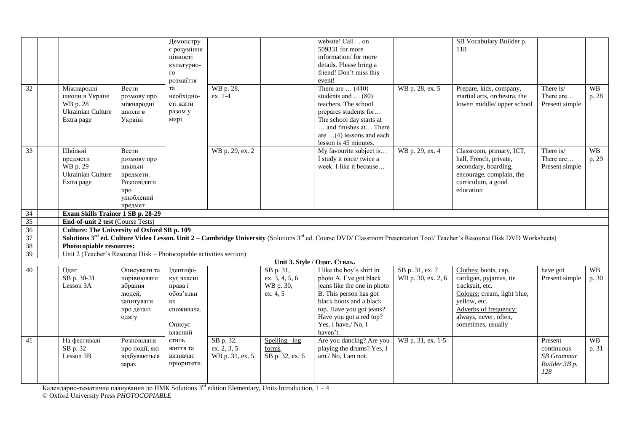|                 |                                                                     |                                | Демонстру         |                          |                               | website! Call on                                    |                    | SB Vocabulary Builder p.                                                                                                                                                                          |                        |           |
|-----------------|---------------------------------------------------------------------|--------------------------------|-------------------|--------------------------|-------------------------------|-----------------------------------------------------|--------------------|---------------------------------------------------------------------------------------------------------------------------------------------------------------------------------------------------|------------------------|-----------|
|                 |                                                                     |                                | є розуміння       |                          |                               | 509331 for more                                     |                    | 118                                                                                                                                                                                               |                        |           |
|                 |                                                                     |                                | цінності          |                          |                               | information/for more                                |                    |                                                                                                                                                                                                   |                        |           |
|                 |                                                                     |                                | культурно-        |                          |                               | details. Please bring a                             |                    |                                                                                                                                                                                                   |                        |           |
|                 |                                                                     |                                | $\Gamma$ O        |                          |                               | friend! Don't miss this                             |                    |                                                                                                                                                                                                   |                        |           |
|                 |                                                                     |                                | розмаїття         |                          |                               | event!                                              |                    |                                                                                                                                                                                                   |                        |           |
| $\overline{32}$ | Міжнародні                                                          | Вести                          | та                | WB p. 28,                |                               | There are $\ldots$ (440)                            | WB p. 28, ex. 5    | Prepare, kids, company,                                                                                                                                                                           | There is/              | <b>WB</b> |
|                 | школи в Україні                                                     | розмову про                    | необхідно-        | ex. 1-4                  |                               | students and $\dots(80)$                            |                    | martial arts, orchestra, the                                                                                                                                                                      | There are              | p. 28     |
|                 | WB p. 28                                                            | міжнародні                     | сті жити          |                          |                               | teachers. The school                                |                    | lower/middle/upper school                                                                                                                                                                         | Present simple         |           |
|                 | <b>Ukrainian Culture</b>                                            | школи в                        | разом у           |                          |                               | prepares students for                               |                    |                                                                                                                                                                                                   |                        |           |
|                 | Extra page                                                          | Україні                        | мирі.             |                          |                               | The school day starts at                            |                    |                                                                                                                                                                                                   |                        |           |
|                 |                                                                     |                                |                   |                          |                               | and finishes at There                               |                    |                                                                                                                                                                                                   |                        |           |
|                 |                                                                     |                                |                   |                          |                               | are $\dots(4)$ lessons and each                     |                    |                                                                                                                                                                                                   |                        |           |
|                 | Шкільні                                                             |                                |                   |                          |                               | lesson is 45 minutes.                               |                    |                                                                                                                                                                                                   |                        | <b>WB</b> |
| $\overline{33}$ |                                                                     | Вести                          |                   | WB p. 29, ex. 2          |                               | My favourite subject is<br>I study it once/ twice a | WB p. 29, ex. 4    | Classroom, primary, ICT,<br>hall, French, private,                                                                                                                                                | There is/<br>There are | p. 29     |
|                 | предмети<br>WB p. 29                                                | розмову про<br>шкільні         |                   |                          |                               | week. I like it because                             |                    | secondary, boarding,                                                                                                                                                                              | Present simple         |           |
|                 | <b>Ukrainian Culture</b>                                            | предмети.                      |                   |                          |                               |                                                     |                    | encourage, complain, the                                                                                                                                                                          |                        |           |
|                 | Extra page                                                          | Розповідати                    |                   |                          |                               |                                                     |                    | curriculum, a good                                                                                                                                                                                |                        |           |
|                 |                                                                     | про                            |                   |                          |                               |                                                     |                    | education                                                                                                                                                                                         |                        |           |
|                 |                                                                     | улюблений                      |                   |                          |                               |                                                     |                    |                                                                                                                                                                                                   |                        |           |
|                 |                                                                     | предмет                        |                   |                          |                               |                                                     |                    |                                                                                                                                                                                                   |                        |           |
|                 |                                                                     |                                |                   |                          |                               |                                                     |                    |                                                                                                                                                                                                   |                        |           |
| $\overline{34}$ | Exam Skills Trainer 1 SB p. 28-29                                   |                                |                   |                          |                               |                                                     |                    |                                                                                                                                                                                                   |                        |           |
| 35              | <b>End-of-unit 2 test (Course Tests)</b>                            |                                |                   |                          |                               |                                                     |                    |                                                                                                                                                                                                   |                        |           |
| 36              | Culture: The University of Oxford SB p. 109                         |                                |                   |                          |                               |                                                     |                    |                                                                                                                                                                                                   |                        |           |
| 37              |                                                                     |                                |                   |                          |                               |                                                     |                    | Solutions 3 <sup>rd</sup> ed. Culture Video Lesson. Unit 2 – Cambridge University (Solutions 3 <sup>rd</sup> ed. Course DVD/ Classroom Presentation Tool/ Teacher's Resource Disk DVD Worksheets) |                        |           |
| 38              | Photocopiable resources:                                            |                                |                   |                          |                               |                                                     |                    |                                                                                                                                                                                                   |                        |           |
| 39              | Unit 2 (Teacher's Resource Disk - Photocopiable activities section) |                                |                   |                          |                               |                                                     |                    |                                                                                                                                                                                                   |                        |           |
|                 |                                                                     |                                |                   |                          |                               | Unit 3. Style / Одяг. Стиль.                        |                    |                                                                                                                                                                                                   |                        |           |
| 40              | Одяг                                                                | Описувати та                   | Ідентифі-         |                          | SB p. 31,                     | I like the boy's shirt in                           | SB p. 31, ex. 7    | Clothes: boots, cap,                                                                                                                                                                              | have got               | <b>WB</b> |
|                 | SB p. 30-31                                                         | порівнювати                    | кує власні        |                          | ex. 3, 4, 5, 6                | photo A. I've got black                             | WB p. 30, ex. 2, 6 | cardigan, pyjamas, tie                                                                                                                                                                            | Present simple         | p. 30     |
|                 | Lesson 3A                                                           | вбрання                        | права і           |                          | WB p. 30,                     | jeans like the one in photo                         |                    | tracksuit, etc.                                                                                                                                                                                   |                        |           |
|                 |                                                                     | людей,                         | обов'язки         |                          | ex. 4, 5                      | B. This person has got                              |                    | Colours: cream, light blue,                                                                                                                                                                       |                        |           |
|                 |                                                                     | запитувати                     | ЯК                |                          |                               | black boots and a black                             |                    | yellow, etc.                                                                                                                                                                                      |                        |           |
|                 |                                                                     | про деталі                     | споживача.        |                          |                               | top. Have you got jeans?                            |                    | Adverbs of frequency:                                                                                                                                                                             |                        |           |
|                 |                                                                     | одягу                          |                   |                          |                               | Have you got a red top?                             |                    | always, never, often,                                                                                                                                                                             |                        |           |
|                 |                                                                     |                                | Описує            |                          |                               | Yes, I have./ No, I                                 |                    | sometimes, usually                                                                                                                                                                                |                        |           |
|                 |                                                                     |                                | власний           |                          |                               | haven't.                                            |                    |                                                                                                                                                                                                   |                        |           |
| 41              | На фестивалі                                                        | Розповідати                    | стиль<br>життя та | SB p. 32,<br>ex. 2, 3, 5 | $S$ pelling $-$ ing<br>forms. | Are you dancing? Are you                            | WB p. 31, ex. 1-5  |                                                                                                                                                                                                   | Present<br>continuous  | <b>WB</b> |
|                 | SB p. 32                                                            | про події, які<br>відбуваються | визначає          |                          |                               | playing the drums? Yes, I<br>am./No, I am not.      |                    |                                                                                                                                                                                                   | <b>SB</b> Grammar      | p. 31     |
|                 | Lesson 3B                                                           | зараз                          | пріоритети.       | WB p. 31, ex. 5          | SB p. 32, ex. 6               |                                                     |                    |                                                                                                                                                                                                   |                        |           |
|                 |                                                                     |                                |                   |                          |                               |                                                     |                    |                                                                                                                                                                                                   | Builder 3B p.<br>128   |           |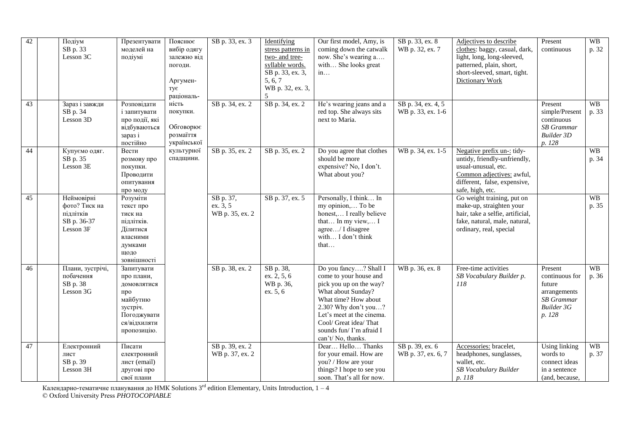| 42<br>43 | Подіум<br>SB p. 33<br>Lesson 3C<br>Зараз і завжди                    | Презентувати<br>моделей на<br>подіумі<br>Розповідати                                                                 | Пояснює<br>вибір одягу<br>залежно від<br>погоди.<br>Аргумен-<br>тує<br>раціональ-<br>ність | SB p. 33, ex. 3<br>SB p. 34, ex. 2       | Identifying<br>stress patterns in<br>two- and tree-<br>syllable words.<br>SB p. 33, ex. 3,<br>5, 6, 7<br>WB p. 32, ex. 3,<br>5<br>SB p. 34, ex. 2 | Our first model, Amy, is<br>coming down the catwalk<br>now. She's wearing a<br>with She looks great<br>in<br>He's wearing jeans and a                                                                                                                    | SB p. 33, ex. 8<br>WB p. 32, ex. 7<br>SB p. 34, ex. 4, 5 | Adjectives to describe<br>clothes: baggy, casual, dark,<br>light, long, long-sleeved,<br>patterned, plain, short,<br>short-sleeved, smart, tight.<br><b>Dictionary Work</b> | Present<br>continuous<br>Present                                                                 | <b>WB</b><br>p. 32<br><b>WB</b> |
|----------|----------------------------------------------------------------------|----------------------------------------------------------------------------------------------------------------------|--------------------------------------------------------------------------------------------|------------------------------------------|---------------------------------------------------------------------------------------------------------------------------------------------------|----------------------------------------------------------------------------------------------------------------------------------------------------------------------------------------------------------------------------------------------------------|----------------------------------------------------------|-----------------------------------------------------------------------------------------------------------------------------------------------------------------------------|--------------------------------------------------------------------------------------------------|---------------------------------|
|          | SB p. 34<br>Lesson 3D                                                | і запитувати<br>про події, які<br>відбуваються<br>зараз і<br>постійно                                                | покупки.<br>Обговорює<br>розмаїття<br>української                                          |                                          |                                                                                                                                                   | red top. She always sits<br>next to Maria.                                                                                                                                                                                                               | WB p. 33, ex. 1-6                                        |                                                                                                                                                                             | simple/Present<br>continuous<br><b>SB</b> Grammar<br><b>Builder 3D</b><br>p. 128                 | p. 33                           |
| 44       | Купуємо одяг.<br>SB p. 35<br>Lesson 3E                               | Вести<br>розмову про<br>покупки.<br>Проводити<br>опитування<br>про моду                                              | культурної<br>спадщини.                                                                    | SB p. 35, ex. 2                          | SB p. 35, ex. 2                                                                                                                                   | Do you agree that clothes<br>should be more<br>expensive? No, I don't.<br>What about you?                                                                                                                                                                | WB p. 34, ex. 1-5                                        | Negative prefix un-: tidy-<br>untidy, friendly-unfriendly,<br>usual-unusual, etc.<br>Common adjectives: awful,<br>different, false, expensive,<br>safe, high, etc.          |                                                                                                  | <b>WB</b><br>p. 34              |
| 45       | Неймовірні<br>фото? Тиск на<br>підлітків<br>SB p. 36-37<br>Lesson 3F | Розуміти<br>текст про<br>тиск на<br>підлітків.<br>Ділитися<br>власними<br>думками<br>щодо<br>зовнішності             |                                                                                            | SB p. 37,<br>ex. 3, 5<br>WB p. 35, ex. 2 | SB p. 37, ex. 5                                                                                                                                   | Personally, I think In<br>my opinion, To be<br>honest, I really believe<br>that In my view, I<br>agree/ I disagree<br>with I don't think<br>that                                                                                                         |                                                          | Go weight training, put on<br>make-up, straighten your<br>hair, take a selfie, artificial,<br>fake, natural, male, natural,<br>ordinary, real, special                      |                                                                                                  | <b>WB</b><br>p. 35              |
| 46       | Плани, зустрічі,<br>побачення<br>SB p. 38<br>Lesson 3G               | Запитувати<br>про плани,<br>домовлятися<br>про<br>майбутню<br>зустріч.<br>Погоджувати<br>ся/відхиляти<br>пропозицію. |                                                                                            | SB p. 38, ex. 2                          | SB p. 38,<br>ex. 2, 5, 6<br>WB p. 36,<br>ex. 5, 6                                                                                                 | Do you fancy? Shall I<br>come to your house and<br>pick you up on the way?<br>What about Sunday?<br>What time? How about<br>2.30? Why don't you?<br>Let's meet at the cinema.<br>Cool/ Great idea/ That<br>sounds fun/ I'm afraid I<br>can't/No, thanks. | WB p. 36, ex. 8                                          | Free-time activities<br>SB Vocabulary Builder p.<br>118                                                                                                                     | Present<br>continuous for<br>future<br>arrangements<br><b>SB</b> Grammar<br>Builder 3G<br>p. 128 | <b>WB</b><br>p. 36              |
| 47       | Електронний<br>лист<br>SB p. 39<br>Lesson 3H                         | Писати<br>електронний<br>лист (email)<br>другові про<br>свої плани                                                   |                                                                                            | SB p. 39, ex. 2<br>WB p. 37, ex. 2       |                                                                                                                                                   | Dear Hello Thanks<br>for your email. How are<br>you? / How are your<br>things? I hope to see you<br>soon. That's all for now.                                                                                                                            | SB p. 39, ex. 6<br>WB p. 37, ex. 6, 7                    | Accessories: bracelet,<br>headphones, sunglasses,<br>wallet, etc.<br>SB Vocabulary Builder<br>p. 118                                                                        | <b>Using linking</b><br>words to<br>connect ideas<br>in a sentence<br>(and, because,             | <b>WB</b><br>p. 37              |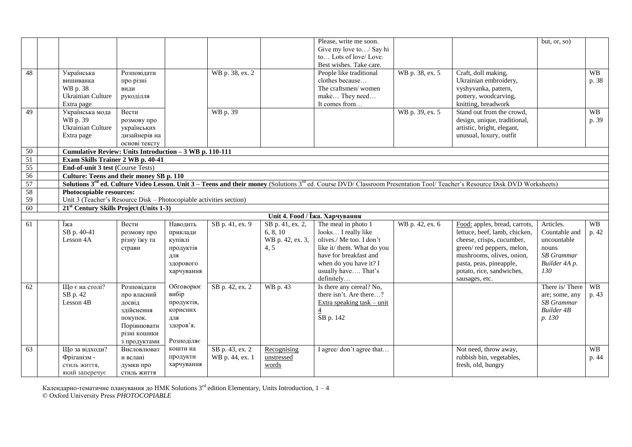|                 |                                                                     |               |            |                 |                         | Please, write me soon.                                 |                 |                                                                                                                                                                                                          | but, or, so)               |           |
|-----------------|---------------------------------------------------------------------|---------------|------------|-----------------|-------------------------|--------------------------------------------------------|-----------------|----------------------------------------------------------------------------------------------------------------------------------------------------------------------------------------------------------|----------------------------|-----------|
|                 |                                                                     |               |            |                 |                         | Give my love to/ Say hi                                |                 |                                                                                                                                                                                                          |                            |           |
|                 |                                                                     |               |            |                 |                         | to Lots of love/Love.                                  |                 |                                                                                                                                                                                                          |                            |           |
|                 |                                                                     |               |            |                 |                         | Best wishes. Take care.                                |                 |                                                                                                                                                                                                          |                            |           |
| 48              | Українська                                                          | Розповілати   |            | WB p. 38, ex. 2 |                         | People like traditional                                | WB p. 38, ex. 5 | Craft, doll making,                                                                                                                                                                                      |                            | <b>WB</b> |
|                 | вишиванка                                                           | про різні     |            |                 |                         | clothes because                                        |                 | Ukrainian embroidery,                                                                                                                                                                                    |                            | p. 38     |
|                 | WB p. 38                                                            | види          |            |                 |                         | The craftsmen/women                                    |                 | vyshyvanka, pattern,                                                                                                                                                                                     |                            |           |
|                 | Ukrainian Culture                                                   | рукоділля     |            |                 |                         | make They need                                         |                 | pottery, woodcarving,                                                                                                                                                                                    |                            |           |
|                 | Extra page                                                          |               |            |                 |                         | It comes from                                          |                 | knitting, breadwork                                                                                                                                                                                      |                            |           |
| 49              | Українська мода                                                     | Вести         |            | WB p. 39        |                         |                                                        | WB p. 39, ex. 5 | Stand out from the crowd,                                                                                                                                                                                |                            | <b>WB</b> |
|                 | WB p. 39                                                            | розмову про   |            |                 |                         |                                                        |                 | design, unique, traditional,                                                                                                                                                                             |                            | p. 39     |
|                 | Ukrainian Culture                                                   | українських   |            |                 |                         |                                                        |                 | artistic, bright, elegant,                                                                                                                                                                               |                            |           |
|                 | Extra page                                                          | дизайнерів на |            |                 |                         |                                                        |                 | unusual, luxury, outfit                                                                                                                                                                                  |                            |           |
|                 |                                                                     | основі тексту |            |                 |                         |                                                        |                 |                                                                                                                                                                                                          |                            |           |
| 50              | Cumulative Review: Units Introduction - 3 WB p. 110-111             |               |            |                 |                         |                                                        |                 |                                                                                                                                                                                                          |                            |           |
| 51              | Exam Skills Trainer 2 WB p. 40-41                                   |               |            |                 |                         |                                                        |                 |                                                                                                                                                                                                          |                            |           |
| 55              | <b>End-of-unit 3 test (Course Tests)</b>                            |               |            |                 |                         |                                                        |                 |                                                                                                                                                                                                          |                            |           |
| 56              | Culture: Teens and their money SB p. 110                            |               |            |                 |                         |                                                        |                 |                                                                                                                                                                                                          |                            |           |
| 57              |                                                                     |               |            |                 |                         |                                                        |                 | <b>Solutions 3<sup>rd</sup> ed. Culture Video Lesson. Unit 3 – Teens and their money</b> (Solutions 3 <sup>rd</sup> ed. Course DVD/ Classroom Presentation Tool/ Teacher's Resource Disk DVD Worksheets) |                            |           |
| 58              | Photocopiable resources:                                            |               |            |                 |                         |                                                        |                 |                                                                                                                                                                                                          |                            |           |
| 59              | Unit 3 (Teacher's Resource Disk – Photocopiable activities section) |               |            |                 |                         |                                                        |                 |                                                                                                                                                                                                          |                            |           |
| $\overline{60}$ | 21 <sup>st</sup> Century Skills Project (Units 1-3)                 |               |            |                 |                         |                                                        |                 |                                                                                                                                                                                                          |                            |           |
|                 |                                                                     |               |            |                 |                         | Unit 4. Food / Їжа. Харчування                         |                 |                                                                                                                                                                                                          |                            |           |
| 61              | Іжа                                                                 | Вести         | Наводить   | SB p. 41, ex. 9 | SB p. 41, ex. 2,        | The meal in photo 1                                    | WB p. 42, ex. 6 | Food: apples, bread, carrots,                                                                                                                                                                            | Articles.                  | <b>WB</b> |
|                 | SB p. 40-41                                                         | розмову про   | приклади   |                 | 6, 8, 10                | looks I really like                                    |                 | lettuce, beef, lamb, chicken,                                                                                                                                                                            | Countable and              | p. 42     |
|                 | Lesson 4A                                                           | різну їжу та  | купівлі    |                 | WB p. 42, ex. 3,<br>4.5 | olives./ Me too. I don't<br>like it/ them. What do you |                 | cheese, crisps, cucumber,                                                                                                                                                                                | uncountable                |           |
|                 |                                                                     | страви        | продуктів  |                 |                         | have for breakfast and                                 |                 | green/red peppers, melon,<br>mushrooms, olives, onion,                                                                                                                                                   | nouns<br><b>SB</b> Grammar |           |
|                 |                                                                     |               | для        |                 |                         | when do you have it? I                                 |                 |                                                                                                                                                                                                          |                            |           |
|                 |                                                                     |               | здорового  |                 |                         | usually have That's                                    |                 | pasta, peas, pineapple,<br>potato, rice, sandwiches,                                                                                                                                                     | Builder 4A p.<br>130       |           |
|                 |                                                                     |               | харчування |                 |                         | definitely                                             |                 |                                                                                                                                                                                                          |                            |           |
| 62              | Що є на столі?                                                      | Розповілати   | Обговорює  | SB p. 42, ex. 2 | WB p. 43                | Is there any cereal? No,                               |                 | sausages, etc.                                                                                                                                                                                           | There is/There             | <b>WB</b> |
|                 | SB p. 42                                                            | про власний   | вибір      |                 |                         | there isn't. Are there?                                |                 |                                                                                                                                                                                                          | are; some, any             | p. 43     |
|                 | Lesson 4B                                                           | досвід        | продуктів, |                 |                         | Extra speaking task – unit                             |                 |                                                                                                                                                                                                          | <b>SB</b> Grammar          |           |
|                 |                                                                     | здійснення    | корисних   |                 |                         | $\overline{4}$                                         |                 |                                                                                                                                                                                                          | <b>Builder 4B</b>          |           |
|                 |                                                                     | покупок.      | для        |                 |                         | SB p. 142                                              |                 |                                                                                                                                                                                                          | p. 130                     |           |
|                 |                                                                     | Порівнювати   | здоров'я.  |                 |                         |                                                        |                 |                                                                                                                                                                                                          |                            |           |
|                 |                                                                     | різні кошики  |            |                 |                         |                                                        |                 |                                                                                                                                                                                                          |                            |           |
|                 |                                                                     | з продуктами  | Розподіляє |                 |                         |                                                        |                 |                                                                                                                                                                                                          |                            |           |
| 63              | Що за відходи?                                                      | Висловлюват   | кошти на   | SB p. 43, ex. 2 | Recognising             | I agree/don't agree that                               |                 | Not need, throw away,                                                                                                                                                                                    |                            | <b>WB</b> |
|                 | Фріганізм -                                                         | и вслані      | продукти   | WB p. 44, ex. 1 | unstressed              |                                                        |                 | rubbish bin, vegetables,                                                                                                                                                                                 |                            | p. 44     |
|                 | стиль життя,                                                        | думки про     | харчування |                 | words                   |                                                        |                 | fresh, old, hungry                                                                                                                                                                                       |                            |           |
|                 | який заперечує                                                      | стиль життя   |            |                 |                         |                                                        |                 |                                                                                                                                                                                                          |                            |           |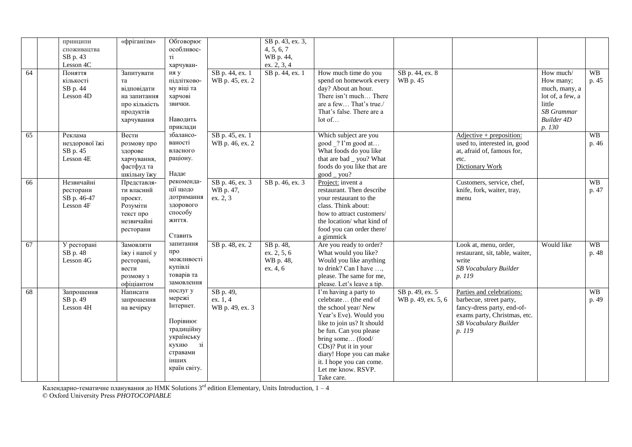| 64 | принципи<br>споживацтва<br>SB p. 43<br>Lesson 4C<br>Поняття<br>кількості<br>SB p. 44<br>Lesson 4D | «фріганізм»<br>Запитувати<br>та<br>відповідати<br>на запитання<br>про кількість<br>продуктів<br>харчування | Обговорює<br>особливос-<br>Ti<br>харчуван-<br>ня у<br>підлітково-<br>му віці та<br>харчові<br>звички.<br>Наводить<br>приклади | SB p. 44, ex. 1<br>WB p. 45, ex. 2       | SB p. 43, ex. 3,<br>4, 5, 6, 7<br>WB p. 44,<br>ex. 2, 3, 4<br>SB p. 44, ex. 1 | How much time do you<br>spend on homework every<br>day? About an hour.<br>There isn't much There<br>are a few That's true./<br>That's false. There are a<br>lot of                                                                                                                               | SB p. 44, ex. 8<br>WB p. 45           |                                                                                                                                                       | How much/<br>How many;<br>much, many, a<br>lot of, a few, a<br>little<br><b>SB</b> Grammar<br><b>Builder 4D</b><br>p. 130 | <b>WB</b><br>p. 45 |
|----|---------------------------------------------------------------------------------------------------|------------------------------------------------------------------------------------------------------------|-------------------------------------------------------------------------------------------------------------------------------|------------------------------------------|-------------------------------------------------------------------------------|--------------------------------------------------------------------------------------------------------------------------------------------------------------------------------------------------------------------------------------------------------------------------------------------------|---------------------------------------|-------------------------------------------------------------------------------------------------------------------------------------------------------|---------------------------------------------------------------------------------------------------------------------------|--------------------|
| 65 | Реклама<br>нездорової їжі<br>SB p. 45<br>Lesson 4E                                                | Вести<br>розмову про<br>здорове<br>харчування,<br>фастфуд та<br>шкільну їжу                                | збалансо-<br>ваності<br>власного<br>раціону.<br>Надає                                                                         | SB p. 45, ex. 1<br>WB p. 46, ex. 2       |                                                                               | Which subject are you<br>good ? I'm good at<br>What foods do you like<br>that are bad _ you? What<br>foods do you like that are<br>$good_y$ you?                                                                                                                                                 |                                       | $Adjective + preposition:$<br>used to, interested in, good<br>at, afraid of, famous for,<br>etc.<br>Dictionary Work                                   |                                                                                                                           | <b>WB</b><br>p. 46 |
| 66 | Незвичайні<br>ресторани<br>SB p. 46-47<br>Lesson 4F                                               | Представля-<br>ти власний<br>проект.<br>Розуміти<br>текст про<br>незвичайні<br>ресторани                   | рекоменда-<br>ції щодо<br>дотримання<br>здорового<br>способу<br>життя.<br>Ставить                                             | SB p. 46, ex. 3<br>WB p. 47,<br>ex. 2, 3 | SB p. 46, ex. 3                                                               | Project: invent a<br>restaurant. Then describe<br>your restaurant to the<br>class. Think about:<br>how to attract customers/<br>the location/ what kind of<br>food you can order there/<br>a gimmick                                                                                             |                                       | Customers, service, chef,<br>knife, fork, waiter, tray,<br>menu                                                                                       |                                                                                                                           | <b>WB</b><br>p. 47 |
| 67 | У ресторані<br>SB p. 48<br>Lesson 4G                                                              | Замовляти<br>їжу і напої у<br>ресторані,<br>вести<br>розмову з<br>офіціантом                               | запитання<br>про<br>можливості<br>купівлі<br>товарів та<br>замовлення                                                         | SB p. 48, ex. 2                          | SB p. 48,<br>ex. 2, 5, 6<br>WB p. 48,<br>ex. 4, 6                             | Are you ready to order?<br>What would you like?<br>Would you like anything<br>to drink? Can I have ,<br>please. The same for me,<br>please. Let's leave a tip.                                                                                                                                   |                                       | Look at, menu, order,<br>restaurant, sit, table, waiter,<br>write<br>SB Vocabulary Builder<br>p. 119                                                  | Would like                                                                                                                | <b>WB</b><br>p. 48 |
| 68 | Запрошення<br>SB p. 49<br>Lesson 4H                                                               | Написати<br>запрошення<br>на вечірку                                                                       | послуг у<br>мережі<br>Інтернет.<br>Порівнює<br>традиційну<br>українську<br>кухню<br>3i<br>стравами<br>інших<br>країн світу.   | SB p. 49,<br>ex. 1, 4<br>WB p. 49, ex. 3 |                                                                               | I'm having a party to<br>celebrate (the end of<br>the school year/New<br>Year's Eve). Would you<br>like to join us? It should<br>be fun. Can you please<br>bring some (food/<br>CDs)? Put it in your<br>diary! Hope you can make<br>it. I hope you can come.<br>Let me know. RSVP.<br>Take care. | SB p. 49, ex. 5<br>WB p. 49, ex. 5, 6 | Parties and celebrations:<br>barbecue, street party,<br>fancy-dress party, end-of-<br>exams party, Christmas, etc.<br>SB Vocabulary Builder<br>p. 119 |                                                                                                                           | <b>WB</b><br>p. 49 |